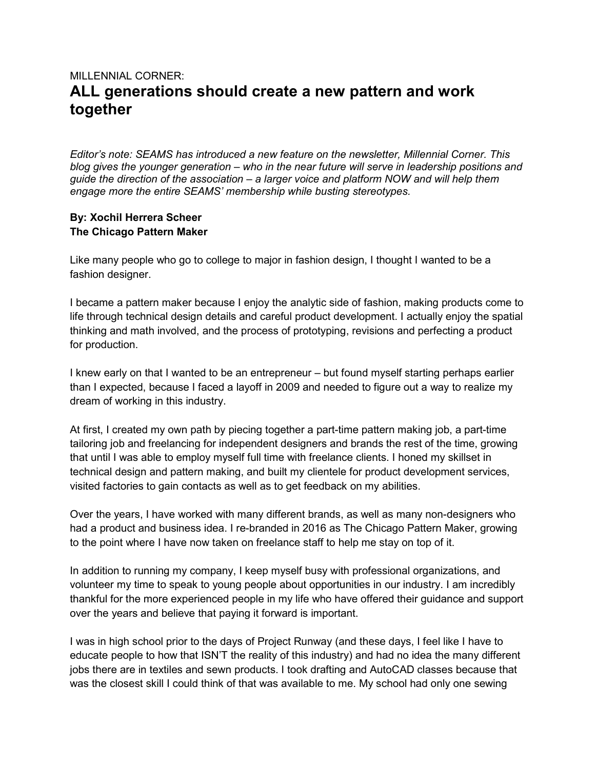## MILLENNIAL CORNER: ALL generations should create a new pattern and work together

Editor's note: SEAMS has introduced a new feature on the newsletter, Millennial Corner. This blog gives the younger generation – who in the near future will serve in leadership positions and guide the direction of the association – a larger voice and platform NOW and will help them engage more the entire SEAMS' membership while busting stereotypes.

## By: Xochil Herrera Scheer The Chicago Pattern Maker

Like many people who go to college to major in fashion design, I thought I wanted to be a fashion designer.

I became a pattern maker because I enjoy the analytic side of fashion, making products come to life through technical design details and careful product development. I actually enjoy the spatial thinking and math involved, and the process of prototyping, revisions and perfecting a product for production.

I knew early on that I wanted to be an entrepreneur – but found myself starting perhaps earlier than I expected, because I faced a layoff in 2009 and needed to figure out a way to realize my dream of working in this industry.

At first, I created my own path by piecing together a part-time pattern making job, a part-time tailoring job and freelancing for independent designers and brands the rest of the time, growing that until I was able to employ myself full time with freelance clients. I honed my skillset in technical design and pattern making, and built my clientele for product development services, visited factories to gain contacts as well as to get feedback on my abilities.

Over the years, I have worked with many different brands, as well as many non-designers who had a product and business idea. I re-branded in 2016 as The Chicago Pattern Maker, growing to the point where I have now taken on freelance staff to help me stay on top of it.

In addition to running my company, I keep myself busy with professional organizations, and volunteer my time to speak to young people about opportunities in our industry. I am incredibly thankful for the more experienced people in my life who have offered their guidance and support over the years and believe that paying it forward is important.

I was in high school prior to the days of Project Runway (and these days, I feel like I have to educate people to how that ISN'T the reality of this industry) and had no idea the many different jobs there are in textiles and sewn products. I took drafting and AutoCAD classes because that was the closest skill I could think of that was available to me. My school had only one sewing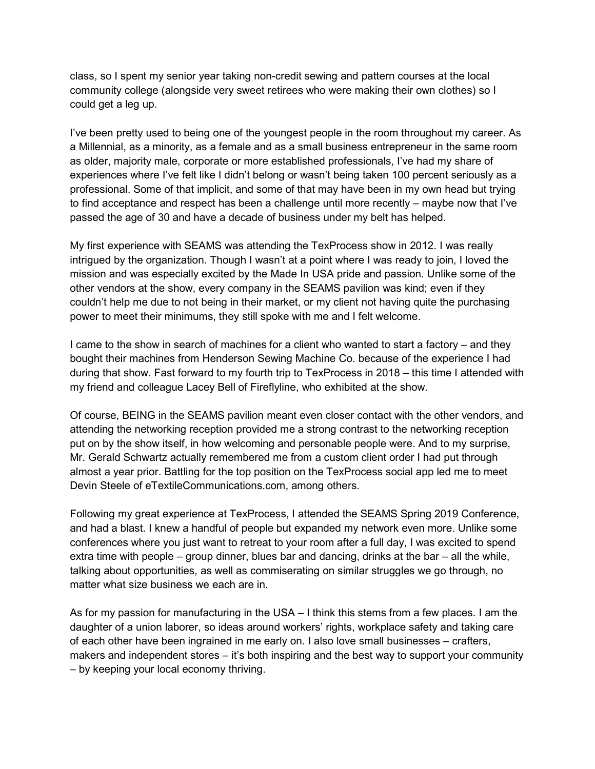class, so I spent my senior year taking non-credit sewing and pattern courses at the local community college (alongside very sweet retirees who were making their own clothes) so I could get a leg up.

I've been pretty used to being one of the youngest people in the room throughout my career. As a Millennial, as a minority, as a female and as a small business entrepreneur in the same room as older, majority male, corporate or more established professionals, I've had my share of experiences where I've felt like I didn't belong or wasn't being taken 100 percent seriously as a professional. Some of that implicit, and some of that may have been in my own head but trying to find acceptance and respect has been a challenge until more recently – maybe now that I've passed the age of 30 and have a decade of business under my belt has helped.

My first experience with SEAMS was attending the TexProcess show in 2012. I was really intrigued by the organization. Though I wasn't at a point where I was ready to join, I loved the mission and was especially excited by the Made In USA pride and passion. Unlike some of the other vendors at the show, every company in the SEAMS pavilion was kind; even if they couldn't help me due to not being in their market, or my client not having quite the purchasing power to meet their minimums, they still spoke with me and I felt welcome.

I came to the show in search of machines for a client who wanted to start a factory – and they bought their machines from Henderson Sewing Machine Co. because of the experience I had during that show. Fast forward to my fourth trip to TexProcess in 2018 – this time I attended with my friend and colleague Lacey Bell of Fireflyline, who exhibited at the show.

Of course, BEING in the SEAMS pavilion meant even closer contact with the other vendors, and attending the networking reception provided me a strong contrast to the networking reception put on by the show itself, in how welcoming and personable people were. And to my surprise, Mr. Gerald Schwartz actually remembered me from a custom client order I had put through almost a year prior. Battling for the top position on the TexProcess social app led me to meet Devin Steele of eTextileCommunications.com, among others.

Following my great experience at TexProcess, I attended the SEAMS Spring 2019 Conference, and had a blast. I knew a handful of people but expanded my network even more. Unlike some conferences where you just want to retreat to your room after a full day, I was excited to spend extra time with people – group dinner, blues bar and dancing, drinks at the bar – all the while, talking about opportunities, as well as commiserating on similar struggles we go through, no matter what size business we each are in.

As for my passion for manufacturing in the USA – I think this stems from a few places. I am the daughter of a union laborer, so ideas around workers' rights, workplace safety and taking care of each other have been ingrained in me early on. I also love small businesses – crafters, makers and independent stores – it's both inspiring and the best way to support your community – by keeping your local economy thriving.